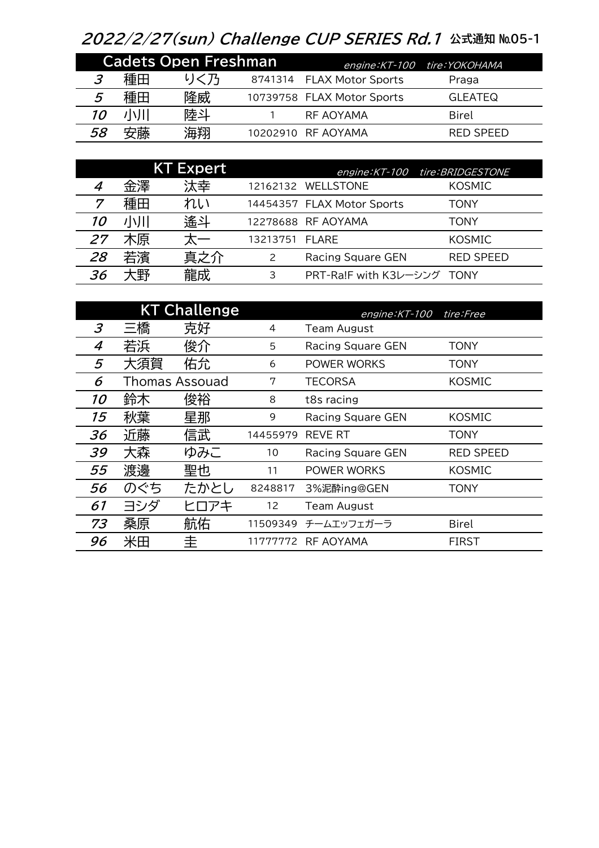## 2022/2/27(sun) Challenge CUP SERIES Rd.1 公式通知 №05-1

| <b>Cadets Open Freshman</b> |    |     |  |                            | engine: KT-100 tire: YOKOHAMA |  |
|-----------------------------|----|-----|--|----------------------------|-------------------------------|--|
|                             | 種田 | りく乃 |  | 8741314 FLAX Motor Sports  | Praga                         |  |
| 5                           | 種田 | 隆威  |  | 10739758 FLAX Motor Sports | <b>GLEATEQ</b>                |  |
| 10                          | 小川 | 陸斗  |  | RF AOYAMA                  | Birel                         |  |
| 58                          | 安藤 | 海翔  |  | 10202910 RF AOYAMA         | RED SPEED                     |  |

|           |    | <b>KT Expert</b> |                |                                   | engine: KT-100 tire: BRIDGESTONE |
|-----------|----|------------------|----------------|-----------------------------------|----------------------------------|
|           | 金澤 | 汰幸               |                | 12162132 WELLSTONE                | <b>KOSMIC</b>                    |
|           | 種田 | れい               |                | 14454357 FLAX Motor Sports        | TONY                             |
| <i>10</i> | 小川 | 遙斗               |                | 12278688 RF AOYAMA                | TONY                             |
| 27        | 木原 | 天一               | 13213751 FLARE |                                   | <b>KOSMIC</b>                    |
| 28        | 若濱 | 真之介              | 2              | <b>Racing Square GEN</b>          | <b>RED SPEED</b>                 |
| 36        | 大野 | 龍成               | 3              | <b>PRT-Ra!F with K3レーシング TONY</b> |                                  |

|    |     | <b>KT Challenge</b>   |          | engine: KT-100           | tire:Free        |
|----|-----|-----------------------|----------|--------------------------|------------------|
| 3  | 三橋  | 克好                    | 4        | <b>Team August</b>       |                  |
| 4  | 若浜  | 俊介                    | 5        | Racing Square GEN        | <b>TONY</b>      |
| 5  | 大須賀 | 佑允                    | 6        | POWER WORKS              | <b>TONY</b>      |
| 6  |     | <b>Thomas Assouad</b> | 7        | <b>TECORSA</b>           | <b>KOSMIC</b>    |
| 10 | 鈴木  | 俊裕                    | 8        | t8s racing               |                  |
| 15 | 秋葉  | 星那                    | 9        | Racing Square GEN        | <b>KOSMIC</b>    |
| 36 | 近藤  | 信武                    | 14455979 | <b>REVE RT</b>           | TONY             |
| 39 | 大森  | ゆみこ                   | 10       | <b>Racing Square GEN</b> | <b>RED SPEED</b> |
| 55 | 渡邊  | 聖也                    | 11       | POWER WORKS              | KOSMIC           |
| 56 | のぐち | たかとし                  | 8248817  | 3%泥酔ing@GEN              | <b>TONY</b>      |
| 61 | ヨシダ | ヒロアキ                  | 12       | <b>Team August</b>       |                  |
| 73 | 桑原  | 航佑                    | 11509349 | チームエッフェガーラ               | <b>Birel</b>     |
| 96 | 米田  | 圭                     | 11777772 | RF AOYAMA                | <b>FIRST</b>     |